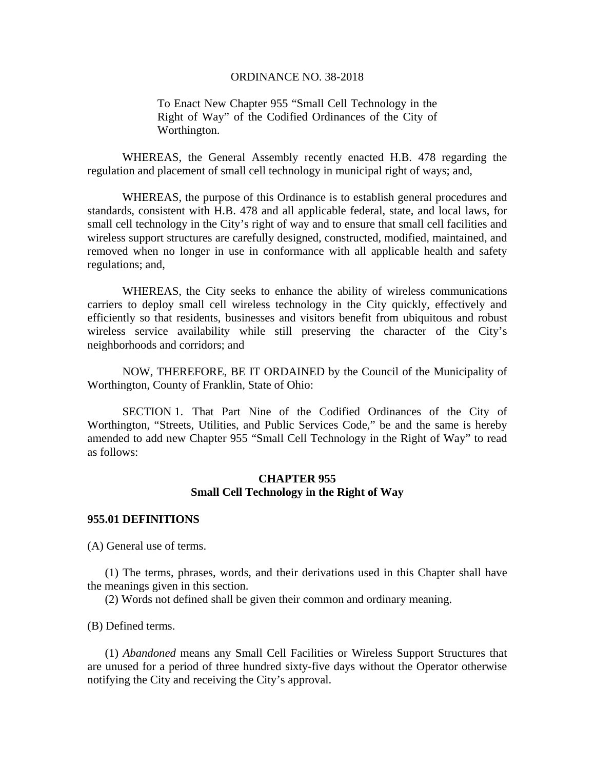To Enact New Chapter 955 "Small Cell Technology in the Right of Way" of the Codified Ordinances of the City of Worthington.

WHEREAS, the General Assembly recently enacted H.B. 478 regarding the regulation and placement of small cell technology in municipal right of ways; and,

WHEREAS, the purpose of this Ordinance is to establish general procedures and standards, consistent with H.B. 478 and all applicable federal, state, and local laws, for small cell technology in the City's right of way and to ensure that small cell facilities and wireless support structures are carefully designed, constructed, modified, maintained, and removed when no longer in use in conformance with all applicable health and safety regulations; and,

WHEREAS, the City seeks to enhance the ability of wireless communications carriers to deploy small cell wireless technology in the City quickly, effectively and efficiently so that residents, businesses and visitors benefit from ubiquitous and robust wireless service availability while still preserving the character of the City's neighborhoods and corridors; and

 NOW, THEREFORE, BE IT ORDAINED by the Council of the Municipality of Worthington, County of Franklin, State of Ohio:

 SECTION 1. That Part Nine of the Codified Ordinances of the City of Worthington, "Streets, Utilities, and Public Services Code," be and the same is hereby amended to add new Chapter 955 "Small Cell Technology in the Right of Way" to read as follows:

## **CHAPTER 955 Small Cell Technology in the Right of Way**

### **955.01 DEFINITIONS**

(A) General use of terms.

(1) The terms, phrases, words, and their derivations used in this Chapter shall have the meanings given in this section.

(2) Words not defined shall be given their common and ordinary meaning.

(B) Defined terms.

(1) *Abandoned* means any Small Cell Facilities or Wireless Support Structures that are unused for a period of three hundred sixty-five days without the Operator otherwise notifying the City and receiving the City's approval.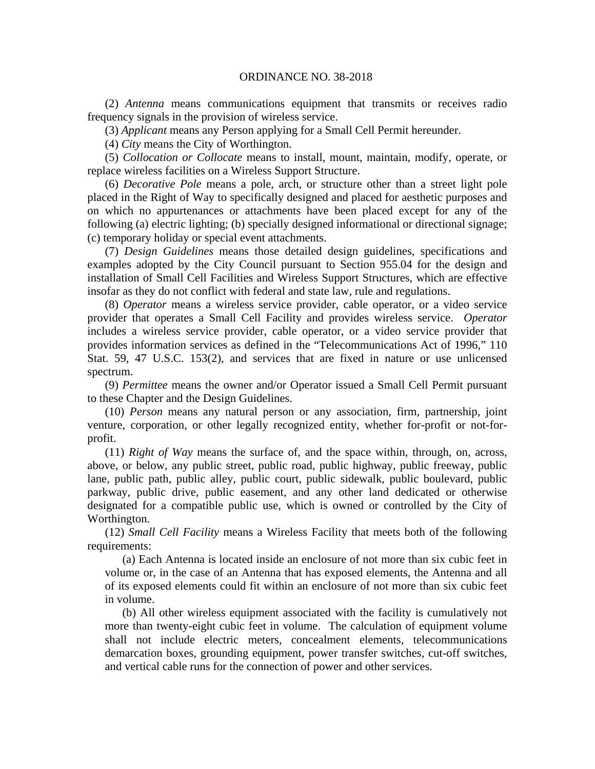(2) *Antenna* means communications equipment that transmits or receives radio frequency signals in the provision of wireless service.

(3) *Applicant* means any Person applying for a Small Cell Permit hereunder.

(4) *City* means the City of Worthington.

(5) *Collocation or Collocate* means to install, mount, maintain, modify, operate, or replace wireless facilities on a Wireless Support Structure.

(6) *Decorative Pole* means a pole, arch, or structure other than a street light pole placed in the Right of Way to specifically designed and placed for aesthetic purposes and on which no appurtenances or attachments have been placed except for any of the following (a) electric lighting; (b) specially designed informational or directional signage; (c) temporary holiday or special event attachments.

(7) *Design Guidelines* means those detailed design guidelines, specifications and examples adopted by the City Council pursuant to Section 955.04 for the design and installation of Small Cell Facilities and Wireless Support Structures, which are effective insofar as they do not conflict with federal and state law, rule and regulations.

(8) *Operator* means a wireless service provider, cable operator, or a video service provider that operates a Small Cell Facility and provides wireless service. *Operator*  includes a wireless service provider, cable operator, or a video service provider that provides information services as defined in the "Telecommunications Act of 1996," 110 Stat. 59, 47 U.S.C. 153(2), and services that are fixed in nature or use unlicensed spectrum.

(9) *Permittee* means the owner and/or Operator issued a Small Cell Permit pursuant to these Chapter and the Design Guidelines.

(10) *Person* means any natural person or any association, firm, partnership, joint venture, corporation, or other legally recognized entity, whether for-profit or not-forprofit.

(11) *Right of Way* means the surface of, and the space within, through, on, across, above, or below, any public street, public road, public highway, public freeway, public lane, public path, public alley, public court, public sidewalk, public boulevard, public parkway, public drive, public easement, and any other land dedicated or otherwise designated for a compatible public use, which is owned or controlled by the City of Worthington.

(12) *Small Cell Facility* means a Wireless Facility that meets both of the following requirements:

(a) Each Antenna is located inside an enclosure of not more than six cubic feet in volume or, in the case of an Antenna that has exposed elements, the Antenna and all of its exposed elements could fit within an enclosure of not more than six cubic feet in volume.

(b) All other wireless equipment associated with the facility is cumulatively not more than twenty-eight cubic feet in volume. The calculation of equipment volume shall not include electric meters, concealment elements, telecommunications demarcation boxes, grounding equipment, power transfer switches, cut-off switches, and vertical cable runs for the connection of power and other services.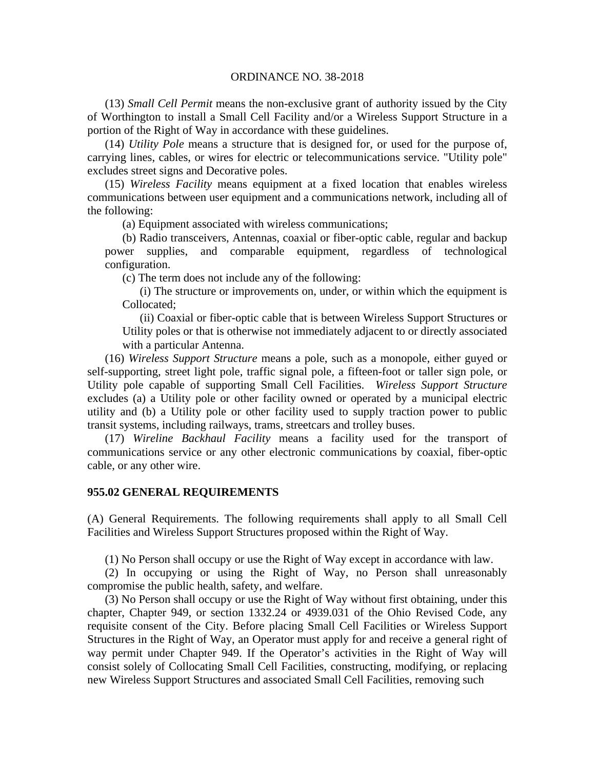(13) *Small Cell Permit* means the non-exclusive grant of authority issued by the City of Worthington to install a Small Cell Facility and/or a Wireless Support Structure in a portion of the Right of Way in accordance with these guidelines.

(14) *Utility Pole* means a structure that is designed for, or used for the purpose of, carrying lines, cables, or wires for electric or telecommunications service. "Utility pole" excludes street signs and Decorative poles.

(15) *Wireless Facility* means equipment at a fixed location that enables wireless communications between user equipment and a communications network, including all of the following:

(a) Equipment associated with wireless communications;

(b) Radio transceivers, Antennas, coaxial or fiber-optic cable, regular and backup power supplies, and comparable equipment, regardless of technological configuration.

(c) The term does not include any of the following:

(i) The structure or improvements on, under, or within which the equipment is Collocated;

(ii) Coaxial or fiber-optic cable that is between Wireless Support Structures or Utility poles or that is otherwise not immediately adjacent to or directly associated with a particular Antenna.

(16) *Wireless Support Structure* means a pole, such as a monopole, either guyed or self-supporting, street light pole, traffic signal pole, a fifteen-foot or taller sign pole, or Utility pole capable of supporting Small Cell Facilities. *Wireless Support Structure* excludes (a) a Utility pole or other facility owned or operated by a municipal electric utility and (b) a Utility pole or other facility used to supply traction power to public transit systems, including railways, trams, streetcars and trolley buses.

(17) *Wireline Backhaul Facility* means a facility used for the transport of communications service or any other electronic communications by coaxial, fiber-optic cable, or any other wire.

#### **955.02 GENERAL REQUIREMENTS**

(A) General Requirements. The following requirements shall apply to all Small Cell Facilities and Wireless Support Structures proposed within the Right of Way.

(1) No Person shall occupy or use the Right of Way except in accordance with law.

(2) In occupying or using the Right of Way, no Person shall unreasonably compromise the public health, safety, and welfare.

(3) No Person shall occupy or use the Right of Way without first obtaining, under this chapter, Chapter 949, or section 1332.24 or 4939.031 of the Ohio Revised Code, any requisite consent of the City. Before placing Small Cell Facilities or Wireless Support Structures in the Right of Way, an Operator must apply for and receive a general right of way permit under Chapter 949. If the Operator's activities in the Right of Way will consist solely of Collocating Small Cell Facilities, constructing, modifying, or replacing new Wireless Support Structures and associated Small Cell Facilities, removing such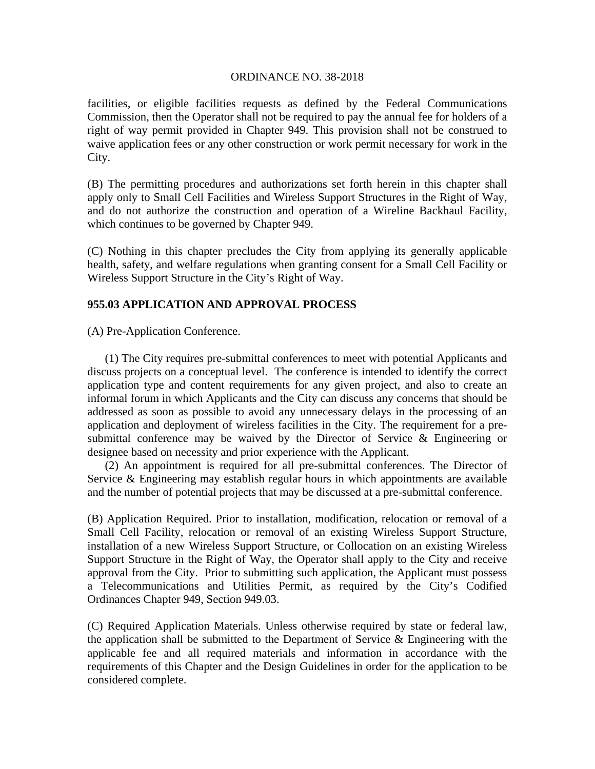facilities, or eligible facilities requests as defined by the Federal Communications Commission, then the Operator shall not be required to pay the annual fee for holders of a right of way permit provided in Chapter 949. This provision shall not be construed to waive application fees or any other construction or work permit necessary for work in the City.

(B) The permitting procedures and authorizations set forth herein in this chapter shall apply only to Small Cell Facilities and Wireless Support Structures in the Right of Way, and do not authorize the construction and operation of a Wireline Backhaul Facility, which continues to be governed by Chapter 949.

(C) Nothing in this chapter precludes the City from applying its generally applicable health, safety, and welfare regulations when granting consent for a Small Cell Facility or Wireless Support Structure in the City's Right of Way.

# **955.03 APPLICATION AND APPROVAL PROCESS**

(A) Pre-Application Conference.

(1) The City requires pre-submittal conferences to meet with potential Applicants and discuss projects on a conceptual level. The conference is intended to identify the correct application type and content requirements for any given project, and also to create an informal forum in which Applicants and the City can discuss any concerns that should be addressed as soon as possible to avoid any unnecessary delays in the processing of an application and deployment of wireless facilities in the City. The requirement for a presubmittal conference may be waived by the Director of Service & Engineering or designee based on necessity and prior experience with the Applicant.

(2) An appointment is required for all pre-submittal conferences. The Director of Service & Engineering may establish regular hours in which appointments are available and the number of potential projects that may be discussed at a pre-submittal conference.

(B) Application Required. Prior to installation, modification, relocation or removal of a Small Cell Facility, relocation or removal of an existing Wireless Support Structure, installation of a new Wireless Support Structure, or Collocation on an existing Wireless Support Structure in the Right of Way, the Operator shall apply to the City and receive approval from the City. Prior to submitting such application, the Applicant must possess a Telecommunications and Utilities Permit, as required by the City's Codified Ordinances Chapter 949, Section 949.03.

(C) Required Application Materials. Unless otherwise required by state or federal law, the application shall be submitted to the Department of Service  $\&$  Engineering with the applicable fee and all required materials and information in accordance with the requirements of this Chapter and the Design Guidelines in order for the application to be considered complete.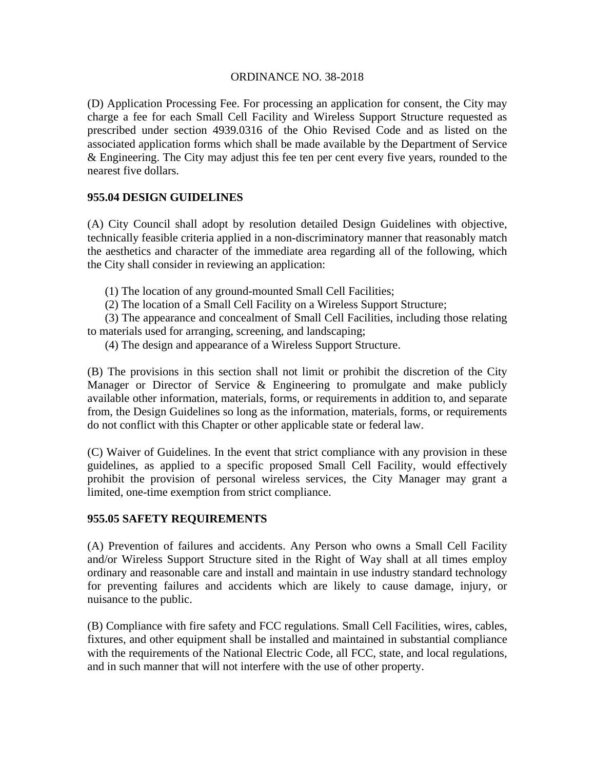(D) Application Processing Fee. For processing an application for consent, the City may charge a fee for each Small Cell Facility and Wireless Support Structure requested as prescribed under section 4939.0316 of the Ohio Revised Code and as listed on the associated application forms which shall be made available by the Department of Service & Engineering. The City may adjust this fee ten per cent every five years, rounded to the nearest five dollars.

# **955.04 DESIGN GUIDELINES**

(A) City Council shall adopt by resolution detailed Design Guidelines with objective, technically feasible criteria applied in a non-discriminatory manner that reasonably match the aesthetics and character of the immediate area regarding all of the following, which the City shall consider in reviewing an application:

(1) The location of any ground-mounted Small Cell Facilities;

(2) The location of a Small Cell Facility on a Wireless Support Structure;

(3) The appearance and concealment of Small Cell Facilities, including those relating to materials used for arranging, screening, and landscaping;

(4) The design and appearance of a Wireless Support Structure.

(B) The provisions in this section shall not limit or prohibit the discretion of the City Manager or Director of Service & Engineering to promulgate and make publicly available other information, materials, forms, or requirements in addition to, and separate from, the Design Guidelines so long as the information, materials, forms, or requirements do not conflict with this Chapter or other applicable state or federal law.

(C) Waiver of Guidelines. In the event that strict compliance with any provision in these guidelines, as applied to a specific proposed Small Cell Facility, would effectively prohibit the provision of personal wireless services, the City Manager may grant a limited, one-time exemption from strict compliance.

## **955.05 SAFETY REQUIREMENTS**

(A) Prevention of failures and accidents. Any Person who owns a Small Cell Facility and/or Wireless Support Structure sited in the Right of Way shall at all times employ ordinary and reasonable care and install and maintain in use industry standard technology for preventing failures and accidents which are likely to cause damage, injury, or nuisance to the public.

(B) Compliance with fire safety and FCC regulations. Small Cell Facilities, wires, cables, fixtures, and other equipment shall be installed and maintained in substantial compliance with the requirements of the National Electric Code, all FCC, state, and local regulations, and in such manner that will not interfere with the use of other property.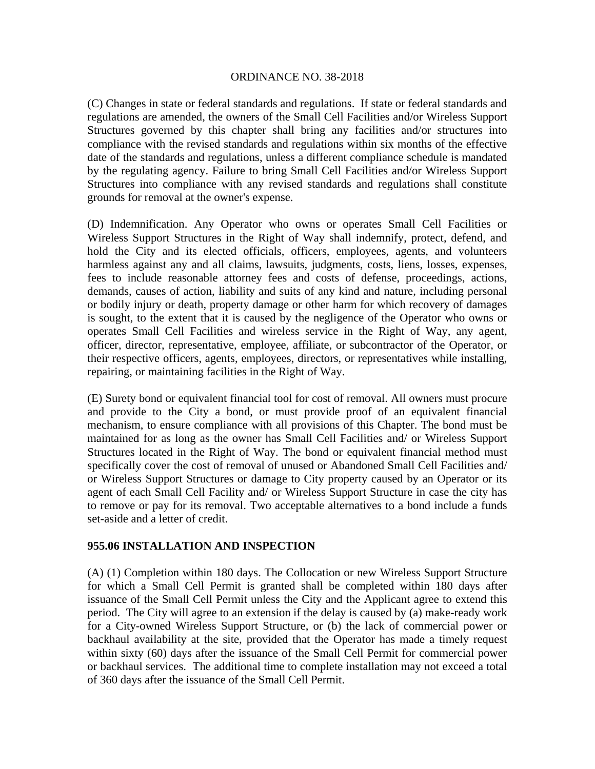(C) Changes in state or federal standards and regulations. If state or federal standards and regulations are amended, the owners of the Small Cell Facilities and/or Wireless Support Structures governed by this chapter shall bring any facilities and/or structures into compliance with the revised standards and regulations within six months of the effective date of the standards and regulations, unless a different compliance schedule is mandated by the regulating agency. Failure to bring Small Cell Facilities and/or Wireless Support Structures into compliance with any revised standards and regulations shall constitute grounds for removal at the owner's expense.

(D) Indemnification. Any Operator who owns or operates Small Cell Facilities or Wireless Support Structures in the Right of Way shall indemnify, protect, defend, and hold the City and its elected officials, officers, employees, agents, and volunteers harmless against any and all claims, lawsuits, judgments, costs, liens, losses, expenses, fees to include reasonable attorney fees and costs of defense, proceedings, actions, demands, causes of action, liability and suits of any kind and nature, including personal or bodily injury or death, property damage or other harm for which recovery of damages is sought, to the extent that it is caused by the negligence of the Operator who owns or operates Small Cell Facilities and wireless service in the Right of Way, any agent, officer, director, representative, employee, affiliate, or subcontractor of the Operator, or their respective officers, agents, employees, directors, or representatives while installing, repairing, or maintaining facilities in the Right of Way.

(E) Surety bond or equivalent financial tool for cost of removal. All owners must procure and provide to the City a bond, or must provide proof of an equivalent financial mechanism, to ensure compliance with all provisions of this Chapter. The bond must be maintained for as long as the owner has Small Cell Facilities and/ or Wireless Support Structures located in the Right of Way. The bond or equivalent financial method must specifically cover the cost of removal of unused or Abandoned Small Cell Facilities and/ or Wireless Support Structures or damage to City property caused by an Operator or its agent of each Small Cell Facility and/ or Wireless Support Structure in case the city has to remove or pay for its removal. Two acceptable alternatives to a bond include a funds set-aside and a letter of credit.

## **955.06 INSTALLATION AND INSPECTION**

(A) (1) Completion within 180 days. The Collocation or new Wireless Support Structure for which a Small Cell Permit is granted shall be completed within 180 days after issuance of the Small Cell Permit unless the City and the Applicant agree to extend this period. The City will agree to an extension if the delay is caused by (a) make-ready work for a City-owned Wireless Support Structure, or (b) the lack of commercial power or backhaul availability at the site, provided that the Operator has made a timely request within sixty (60) days after the issuance of the Small Cell Permit for commercial power or backhaul services. The additional time to complete installation may not exceed a total of 360 days after the issuance of the Small Cell Permit.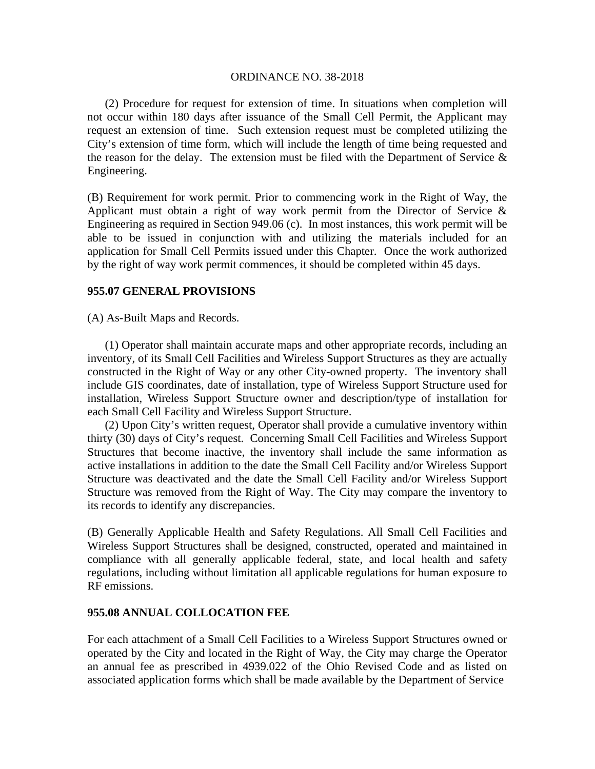(2) Procedure for request for extension of time. In situations when completion will not occur within 180 days after issuance of the Small Cell Permit, the Applicant may request an extension of time. Such extension request must be completed utilizing the City's extension of time form, which will include the length of time being requested and the reason for the delay. The extension must be filed with the Department of Service  $\&$ Engineering.

(B) Requirement for work permit. Prior to commencing work in the Right of Way, the Applicant must obtain a right of way work permit from the Director of Service & Engineering as required in Section 949.06 (c). In most instances, this work permit will be able to be issued in conjunction with and utilizing the materials included for an application for Small Cell Permits issued under this Chapter. Once the work authorized by the right of way work permit commences, it should be completed within 45 days.

### **955.07 GENERAL PROVISIONS**

(A) As-Built Maps and Records.

(1) Operator shall maintain accurate maps and other appropriate records, including an inventory, of its Small Cell Facilities and Wireless Support Structures as they are actually constructed in the Right of Way or any other City-owned property. The inventory shall include GIS coordinates, date of installation, type of Wireless Support Structure used for installation, Wireless Support Structure owner and description/type of installation for each Small Cell Facility and Wireless Support Structure.

(2) Upon City's written request, Operator shall provide a cumulative inventory within thirty (30) days of City's request. Concerning Small Cell Facilities and Wireless Support Structures that become inactive, the inventory shall include the same information as active installations in addition to the date the Small Cell Facility and/or Wireless Support Structure was deactivated and the date the Small Cell Facility and/or Wireless Support Structure was removed from the Right of Way. The City may compare the inventory to its records to identify any discrepancies.

(B) Generally Applicable Health and Safety Regulations. All Small Cell Facilities and Wireless Support Structures shall be designed, constructed, operated and maintained in compliance with all generally applicable federal, state, and local health and safety regulations, including without limitation all applicable regulations for human exposure to RF emissions.

#### **955.08 ANNUAL COLLOCATION FEE**

For each attachment of a Small Cell Facilities to a Wireless Support Structures owned or operated by the City and located in the Right of Way, the City may charge the Operator an annual fee as prescribed in 4939.022 of the Ohio Revised Code and as listed on associated application forms which shall be made available by the Department of Service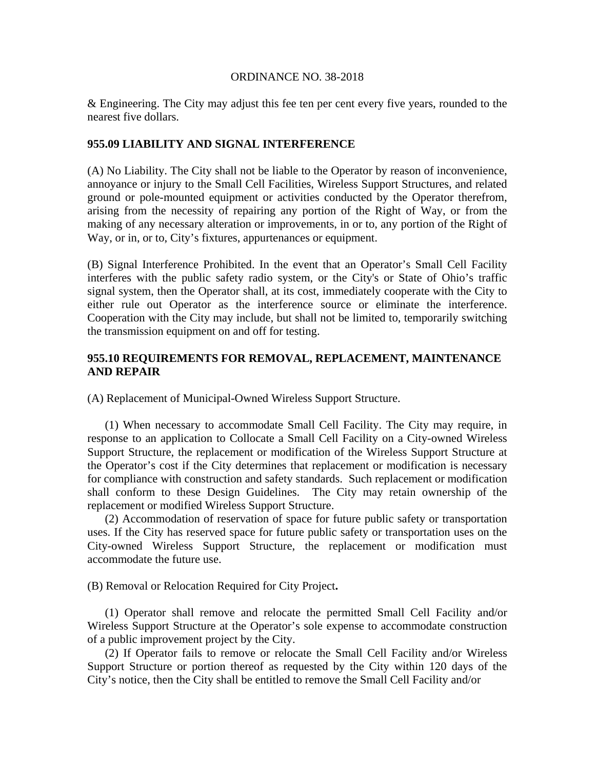& Engineering. The City may adjust this fee ten per cent every five years, rounded to the nearest five dollars.

## **955.09 LIABILITY AND SIGNAL INTERFERENCE**

(A) No Liability. The City shall not be liable to the Operator by reason of inconvenience, annoyance or injury to the Small Cell Facilities, Wireless Support Structures, and related ground or pole-mounted equipment or activities conducted by the Operator therefrom, arising from the necessity of repairing any portion of the Right of Way, or from the making of any necessary alteration or improvements, in or to, any portion of the Right of Way, or in, or to, City's fixtures, appurtenances or equipment.

(B) Signal Interference Prohibited. In the event that an Operator's Small Cell Facility interferes with the public safety radio system, or the City's or State of Ohio's traffic signal system, then the Operator shall, at its cost, immediately cooperate with the City to either rule out Operator as the interference source or eliminate the interference. Cooperation with the City may include, but shall not be limited to, temporarily switching the transmission equipment on and off for testing.

# **955.10 REQUIREMENTS FOR REMOVAL, REPLACEMENT, MAINTENANCE AND REPAIR**

(A) Replacement of Municipal-Owned Wireless Support Structure.

(1) When necessary to accommodate Small Cell Facility. The City may require, in response to an application to Collocate a Small Cell Facility on a City-owned Wireless Support Structure, the replacement or modification of the Wireless Support Structure at the Operator's cost if the City determines that replacement or modification is necessary for compliance with construction and safety standards. Such replacement or modification shall conform to these Design Guidelines. The City may retain ownership of the replacement or modified Wireless Support Structure.

(2) Accommodation of reservation of space for future public safety or transportation uses. If the City has reserved space for future public safety or transportation uses on the City-owned Wireless Support Structure, the replacement or modification must accommodate the future use.

(B) Removal or Relocation Required for City Project**.** 

(1) Operator shall remove and relocate the permitted Small Cell Facility and/or Wireless Support Structure at the Operator's sole expense to accommodate construction of a public improvement project by the City.

(2) If Operator fails to remove or relocate the Small Cell Facility and/or Wireless Support Structure or portion thereof as requested by the City within 120 days of the City's notice, then the City shall be entitled to remove the Small Cell Facility and/or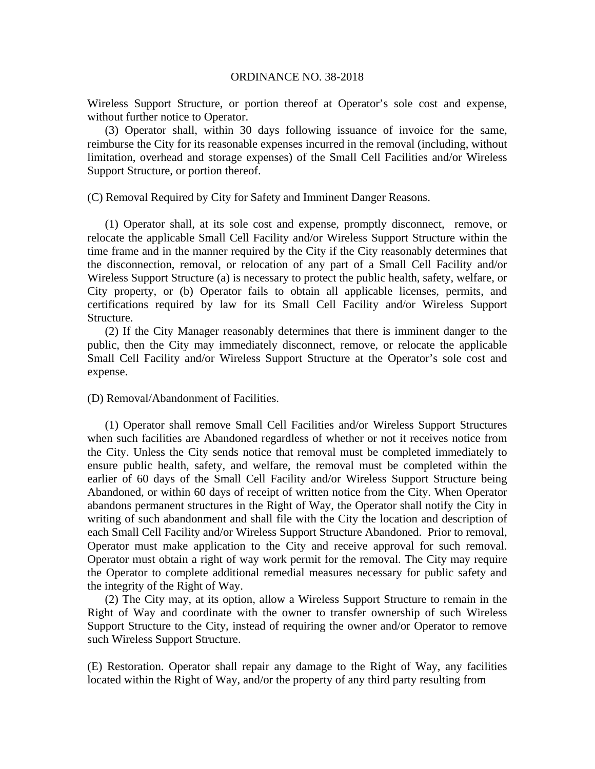Wireless Support Structure, or portion thereof at Operator's sole cost and expense, without further notice to Operator.

(3) Operator shall, within 30 days following issuance of invoice for the same, reimburse the City for its reasonable expenses incurred in the removal (including, without limitation, overhead and storage expenses) of the Small Cell Facilities and/or Wireless Support Structure, or portion thereof.

(C) Removal Required by City for Safety and Imminent Danger Reasons.

(1) Operator shall, at its sole cost and expense, promptly disconnect, remove, or relocate the applicable Small Cell Facility and/or Wireless Support Structure within the time frame and in the manner required by the City if the City reasonably determines that the disconnection, removal, or relocation of any part of a Small Cell Facility and/or Wireless Support Structure (a) is necessary to protect the public health, safety, welfare, or City property, or (b) Operator fails to obtain all applicable licenses, permits, and certifications required by law for its Small Cell Facility and/or Wireless Support Structure.

(2) If the City Manager reasonably determines that there is imminent danger to the public, then the City may immediately disconnect, remove, or relocate the applicable Small Cell Facility and/or Wireless Support Structure at the Operator's sole cost and expense.

#### (D) Removal/Abandonment of Facilities.

(1) Operator shall remove Small Cell Facilities and/or Wireless Support Structures when such facilities are Abandoned regardless of whether or not it receives notice from the City. Unless the City sends notice that removal must be completed immediately to ensure public health, safety, and welfare, the removal must be completed within the earlier of 60 days of the Small Cell Facility and/or Wireless Support Structure being Abandoned, or within 60 days of receipt of written notice from the City. When Operator abandons permanent structures in the Right of Way, the Operator shall notify the City in writing of such abandonment and shall file with the City the location and description of each Small Cell Facility and/or Wireless Support Structure Abandoned. Prior to removal, Operator must make application to the City and receive approval for such removal. Operator must obtain a right of way work permit for the removal. The City may require the Operator to complete additional remedial measures necessary for public safety and the integrity of the Right of Way.

(2) The City may, at its option, allow a Wireless Support Structure to remain in the Right of Way and coordinate with the owner to transfer ownership of such Wireless Support Structure to the City, instead of requiring the owner and/or Operator to remove such Wireless Support Structure.

(E) Restoration. Operator shall repair any damage to the Right of Way, any facilities located within the Right of Way, and/or the property of any third party resulting from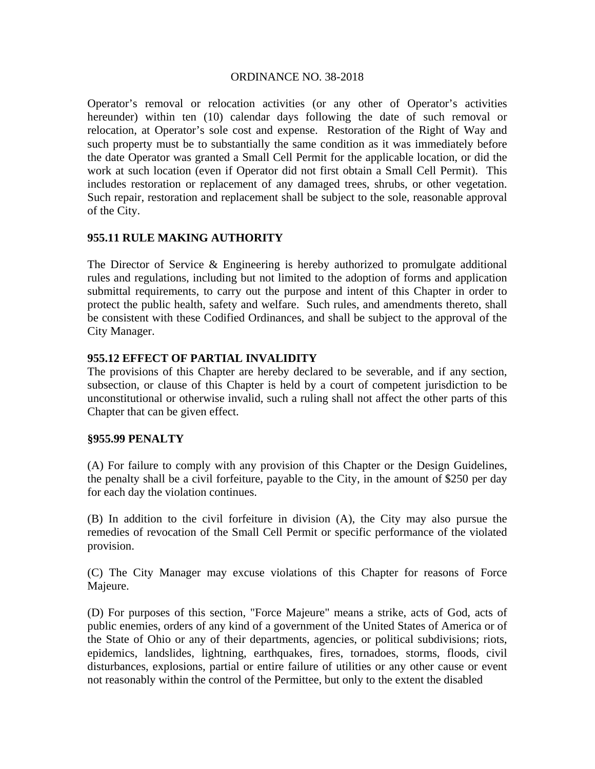Operator's removal or relocation activities (or any other of Operator's activities hereunder) within ten (10) calendar days following the date of such removal or relocation, at Operator's sole cost and expense. Restoration of the Right of Way and such property must be to substantially the same condition as it was immediately before the date Operator was granted a Small Cell Permit for the applicable location, or did the work at such location (even if Operator did not first obtain a Small Cell Permit). This includes restoration or replacement of any damaged trees, shrubs, or other vegetation. Such repair, restoration and replacement shall be subject to the sole, reasonable approval of the City.

# **955.11 RULE MAKING AUTHORITY**

The Director of Service & Engineering is hereby authorized to promulgate additional rules and regulations, including but not limited to the adoption of forms and application submittal requirements, to carry out the purpose and intent of this Chapter in order to protect the public health, safety and welfare. Such rules, and amendments thereto, shall be consistent with these Codified Ordinances, and shall be subject to the approval of the City Manager.

## **955.12 EFFECT OF PARTIAL INVALIDITY**

The provisions of this Chapter are hereby declared to be severable, and if any section, subsection, or clause of this Chapter is held by a court of competent jurisdiction to be unconstitutional or otherwise invalid, such a ruling shall not affect the other parts of this Chapter that can be given effect.

## **§955.99 PENALTY**

(A) For failure to comply with any provision of this Chapter or the Design Guidelines, the penalty shall be a civil forfeiture, payable to the City, in the amount of \$250 per day for each day the violation continues.

(B) In addition to the civil forfeiture in division (A), the City may also pursue the remedies of revocation of the Small Cell Permit or specific performance of the violated provision.

(C) The City Manager may excuse violations of this Chapter for reasons of Force Majeure.

(D) For purposes of this section, "Force Majeure" means a strike, acts of God, acts of public enemies, orders of any kind of a government of the United States of America or of the State of Ohio or any of their departments, agencies, or political subdivisions; riots, epidemics, landslides, lightning, earthquakes, fires, tornadoes, storms, floods, civil disturbances, explosions, partial or entire failure of utilities or any other cause or event not reasonably within the control of the Permittee, but only to the extent the disabled